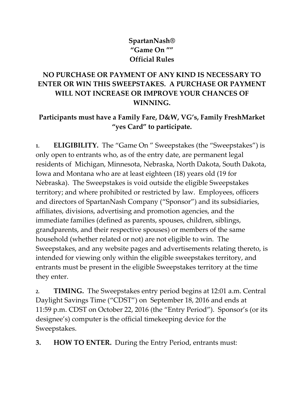## **SpartanNash® "Game On "" Official Rules**

## **NO PURCHASE OR PAYMENT OF ANY KIND IS NECESSARY TO ENTER OR WIN THIS SWEEPSTAKES. A PURCHASE OR PAYMENT WILL NOT INCREASE OR IMPROVE YOUR CHANCES OF WINNING.**

## **Participants must have a Family Fare, D&W, VG's, Family FreshMarket "yes Card" to participate.**

**1. ELIGIBILITY.** The "Game On " Sweepstakes (the "Sweepstakes") is only open to entrants who, as of the entry date, are permanent legal residents of Michigan, Minnesota, Nebraska, North Dakota, South Dakota, Iowa and Montana who are at least eighteen (18) years old (19 for Nebraska). The Sweepstakes is void outside the eligible Sweepstakes territory; and where prohibited or restricted by law. Employees, officers and directors of SpartanNash Company ("Sponsor") and its subsidiaries, affiliates, divisions, advertising and promotion agencies, and the immediate families (defined as parents, spouses, children, siblings, grandparents, and their respective spouses) or members of the same household (whether related or not) are not eligible to win. The Sweepstakes, and any website pages and advertisements relating thereto, is intended for viewing only within the eligible sweepstakes territory, and entrants must be present in the eligible Sweepstakes territory at the time they enter.

**2. TIMING.** The Sweepstakes entry period begins at 12:01 a.m. Central Daylight Savings Time ("CDST") on September 18, 2016 and ends at 11:59 p.m. CDST on October 22, 2016 (the "Entry Period"). Sponsor's (or its designee's) computer is the official timekeeping device for the Sweepstakes.

**3. HOW TO ENTER.** During the Entry Period, entrants must: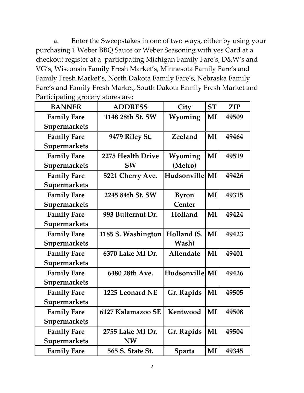a. Enter the Sweepstakes in one of two ways, either by using your purchasing 1 Weber BBQ Sauce or Weber Seasoning with yes Card at a checkout register at a participating Michigan Family Fare's, D&W's and VG's, Wisconsin Family Fresh Market's, Minnesota Family Fare's and Family Fresh Market's, North Dakota Family Fare's, Nebraska Family Fare's and Family Fresh Market, South Dakota Family Fresh Market and Participating grocery stores are:

| U U<br><b>BANNER</b> | <b>ADDRESS</b>     | City             | <b>ST</b> | <b>ZIP</b> |
|----------------------|--------------------|------------------|-----------|------------|
| <b>Family Fare</b>   | 1148 28th St. SW   | Wyoming          | MI        | 49509      |
| Supermarkets         |                    |                  |           |            |
| <b>Family Fare</b>   | 9479 Riley St.     | Zeeland          | MI        | 49464      |
| <b>Supermarkets</b>  |                    |                  |           |            |
| <b>Family Fare</b>   | 2275 Health Drive  | Wyoming          | MI        | 49519      |
| <b>Supermarkets</b>  | <b>SW</b>          | (Metro)          |           |            |
| <b>Family Fare</b>   | 5221 Cherry Ave.   | Hudsonville MI   |           | 49426      |
| Supermarkets         |                    |                  |           |            |
| <b>Family Fare</b>   | 2245 84th St. SW   | <b>Byron</b>     | MI        | 49315      |
| Supermarkets         |                    | Center           |           |            |
| <b>Family Fare</b>   | 993 Butternut Dr.  | Holland          | MI        | 49424      |
| Supermarkets         |                    |                  |           |            |
| <b>Family Fare</b>   | 1185 S. Washington | Holland (S.      | MI        | 49423      |
| Supermarkets         |                    | Wash)            |           |            |
| <b>Family Fare</b>   | 6370 Lake MI Dr.   | <b>Allendale</b> | MI        | 49401      |
| Supermarkets         |                    |                  |           |            |
| <b>Family Fare</b>   | 6480 28th Ave.     | Hudsonville MI   |           | 49426      |
| <b>Supermarkets</b>  |                    |                  |           |            |
| <b>Family Fare</b>   | 1225 Leonard NE    | Gr. Rapids       | MI        | 49505      |
| Supermarkets         |                    |                  |           |            |
| <b>Family Fare</b>   | 6127 Kalamazoo SE  | Kentwood         | MI        | 49508      |
| Supermarkets         |                    |                  |           |            |
| <b>Family Fare</b>   | 2755 Lake MI Dr.   | Gr. Rapids       | MI        | 49504      |
| Supermarkets         | <b>NW</b>          |                  |           |            |
| <b>Family Fare</b>   | 565 S. State St.   | Sparta           | $\bf{MI}$ | 49345      |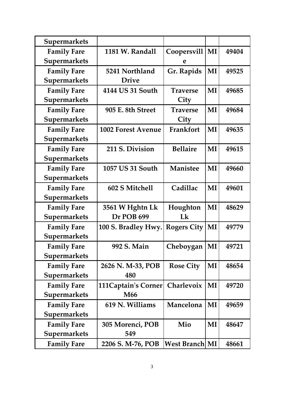| Supermarkets        |                            |                       |    |       |
|---------------------|----------------------------|-----------------------|----|-------|
| <b>Family Fare</b>  | 1181 W. Randall            | Coopersvill           | MI | 49404 |
| Supermarkets        |                            | e                     |    |       |
| <b>Family Fare</b>  | 5241 Northland             | Gr. Rapids            | MI | 49525 |
| Supermarkets        | <b>Drive</b>               |                       |    |       |
| <b>Family Fare</b>  | 4144 US 31 South           | <b>Traverse</b>       | MI | 49685 |
| Supermarkets        |                            | City                  |    |       |
| <b>Family Fare</b>  | 905 E. 8th Street          | <b>Traverse</b>       | MI | 49684 |
| Supermarkets        |                            | City                  |    |       |
| <b>Family Fare</b>  | <b>1002 Forest Avenue</b>  | Frankfort             | MI | 49635 |
| Supermarkets        |                            |                       |    |       |
| <b>Family Fare</b>  | 211 S. Division            | <b>Bellaire</b>       | MI | 49615 |
| Supermarkets        |                            |                       |    |       |
| <b>Family Fare</b>  | 1057 US 31 South           | <b>Manistee</b>       | MI | 49660 |
| Supermarkets        |                            |                       |    |       |
| <b>Family Fare</b>  | 602 S Mitchell             | Cadillac              | MI | 49601 |
| Supermarkets        |                            |                       |    |       |
| <b>Family Fare</b>  | 3561 W Hghtn Lk            | Houghton              | MI | 48629 |
| <b>Supermarkets</b> | Dr POB 699                 | Lk                    |    |       |
| <b>Family Fare</b>  | 100 S. Bradley Hwy.        | <b>Rogers City</b>    | MI | 49779 |
| Supermarkets        |                            |                       |    |       |
| <b>Family Fare</b>  | 992 S. Main                | Cheboygan             | MI | 49721 |
| <b>Supermarkets</b> |                            |                       |    |       |
| <b>Family Fare</b>  | 2626 N. M-33, POB          | <b>Rose City</b>      | MI | 48654 |
| <b>Supermarkets</b> | 480                        |                       |    |       |
| <b>Family Fare</b>  | <b>111Captain's Corner</b> | Charlevoix            | MI | 49720 |
| <b>Supermarkets</b> | M <sub>66</sub>            |                       |    |       |
| <b>Family Fare</b>  | 619 N. Williams            | Mancelona             | MI | 49659 |
| <b>Supermarkets</b> |                            |                       |    |       |
| <b>Family Fare</b>  | 305 Morenci, POB           | Mio                   | MI | 48647 |
| <b>Supermarkets</b> | 549                        |                       |    |       |
| <b>Family Fare</b>  | 2206 S. M-76, POB          | <b>West Branch MI</b> |    | 48661 |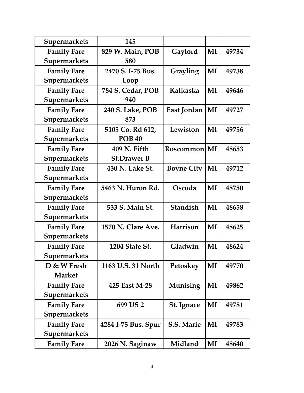| <b>Supermarkets</b> | 145                 |                   |    |       |
|---------------------|---------------------|-------------------|----|-------|
| <b>Family Fare</b>  | 829 W. Main, POB    | Gaylord           | MI | 49734 |
| Supermarkets        | 580                 |                   |    |       |
| <b>Family Fare</b>  | 2470 S. I-75 Bus.   | Grayling          | MI | 49738 |
| <b>Supermarkets</b> | Loop                |                   |    |       |
| <b>Family Fare</b>  | 784 S. Cedar, POB   | Kalkaska          | MI | 49646 |
| Supermarkets        | 940                 |                   |    |       |
| <b>Family Fare</b>  | 240 S. Lake, POB    | East Jordan       | MI | 49727 |
| Supermarkets        | 873                 |                   |    |       |
| <b>Family Fare</b>  | 5105 Co. Rd 612,    | Lewiston          | MI | 49756 |
| Supermarkets        | <b>POB 40</b>       |                   |    |       |
| <b>Family Fare</b>  | 409 N. Fifth        | Roscommon         | MI | 48653 |
| Supermarkets        | <b>St.Drawer B</b>  |                   |    |       |
| <b>Family Fare</b>  | 430 N. Lake St.     | <b>Boyne City</b> | MI | 49712 |
| Supermarkets        |                     |                   |    |       |
| <b>Family Fare</b>  | 5463 N. Huron Rd.   | Oscoda            | MI | 48750 |
| Supermarkets        |                     |                   |    |       |
| <b>Family Fare</b>  | 533 S. Main St.     | <b>Standish</b>   | MI | 48658 |
| Supermarkets        |                     |                   |    |       |
| <b>Family Fare</b>  | 1570 N. Clare Ave.  | Harrison          | MI | 48625 |
| Supermarkets        |                     |                   |    |       |
| <b>Family Fare</b>  | 1204 State St.      | Gladwin           | MI | 48624 |
| <b>Supermarkets</b> |                     |                   |    |       |
| D & W Fresh         | 1163 U.S. 31 North  | Petoskey          | MI | 49770 |
| <b>Market</b>       |                     |                   |    |       |
| <b>Family Fare</b>  | 425 East M-28       | Munising          | MI | 49862 |
| <b>Supermarkets</b> |                     |                   |    |       |
| <b>Family Fare</b>  | 699 US 2            | <b>St. Ignace</b> | MI | 49781 |
| Supermarkets        |                     |                   |    |       |
| <b>Family Fare</b>  | 4284 I-75 Bus. Spur | <b>S.S. Marie</b> | MI | 49783 |
| <b>Supermarkets</b> |                     |                   |    |       |
| <b>Family Fare</b>  | 2026 N. Saginaw     | Midland           | MI | 48640 |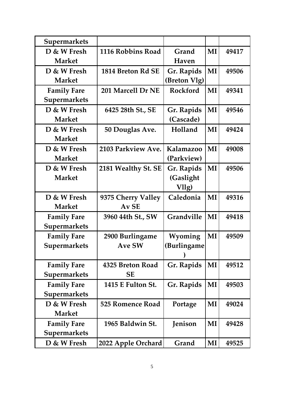| <b>Supermarkets</b> |                          |                   |    |       |
|---------------------|--------------------------|-------------------|----|-------|
| D & W Fresh         | 1116 Robbins Road        | Grand             | MI | 49417 |
| <b>Market</b>       |                          | Haven             |    |       |
| D & W Fresh         | 1814 Breton Rd SE        | Gr. Rapids        | MI | 49506 |
| <b>Market</b>       |                          | (Breton Vlg)      |    |       |
| <b>Family Fare</b>  | 201 Marcell Dr NE        | <b>Rockford</b>   | MI | 49341 |
| Supermarkets        |                          |                   |    |       |
| D & W Fresh         | 6425 28th St., SE        | Gr. Rapids        | MI | 49546 |
| <b>Market</b>       |                          | (Cascade)         |    |       |
| D & W Fresh         | 50 Douglas Ave.          | Holland           | MI | 49424 |
| <b>Market</b>       |                          |                   |    |       |
| D & W Fresh         | 2103 Parkview Ave.       | Kalamazoo         | MI | 49008 |
| <b>Market</b>       |                          | (Parkview)        |    |       |
| D & W Fresh         | 2181 Wealthy St. SE      | Gr. Rapids        | MI | 49506 |
| <b>Market</b>       |                          | (Gaslight         |    |       |
|                     |                          | Vllg)             |    |       |
| D & W Fresh         | 9375 Cherry Valley       | Caledonia         | MI | 49316 |
| <b>Market</b>       | Av SE                    |                   |    |       |
| <b>Family Fare</b>  | 3960 44th St., SW        | <b>Grandville</b> | MI | 49418 |
| Supermarkets        |                          |                   |    |       |
| <b>Family Fare</b>  | 2900 Burlingame          | Wyoming           | MI | 49509 |
| Supermarkets        | <b>Ave SW</b>            | (Burlingame       |    |       |
|                     |                          |                   |    |       |
| <b>Family Fare</b>  | 4325 Breton Road         | Gr. Rapids        | MI | 49512 |
| Supermarkets        | SЕ                       |                   |    |       |
| <b>Family Fare</b>  | <b>1415 E Fulton St.</b> | Gr. Rapids        | MI | 49503 |
| Supermarkets        |                          |                   |    |       |
| D & W Fresh         | 525 Romence Road         | Portage           | MI | 49024 |
| <b>Market</b>       |                          |                   |    |       |
| <b>Family Fare</b>  | 1965 Baldwin St.         | Jenison           | MI | 49428 |
| <b>Supermarkets</b> |                          |                   |    |       |
| D & W Fresh         | 2022 Apple Orchard       | Grand             | MI | 49525 |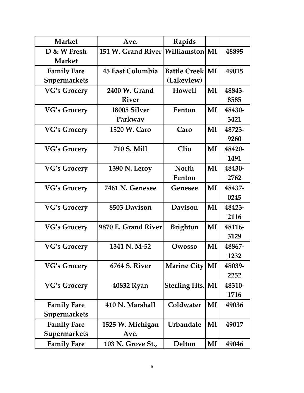| <b>Market</b>       | Ave.                                  | Rapids                  |    |        |
|---------------------|---------------------------------------|-------------------------|----|--------|
| D & W Fresh         | 151 W. Grand River   Williamston   MI |                         |    | 48895  |
| <b>Market</b>       |                                       |                         |    |        |
| <b>Family Fare</b>  | 45 East Columbia                      | <b>Battle Creek MI</b>  |    | 49015  |
| <b>Supermarkets</b> |                                       | (Lakeview)              |    |        |
| <b>VG's Grocery</b> | 2400 W. Grand                         | <b>Howell</b>           | MI | 48843- |
|                     | <b>River</b>                          |                         |    | 8585   |
| <b>VG's Grocery</b> | 18005 Silver                          | Fenton                  | MI | 48430- |
|                     | Parkway                               |                         |    | 3421   |
| <b>VG's Grocery</b> | 1520 W. Caro                          | Caro                    | MI | 48723- |
|                     |                                       |                         |    | 9260   |
| <b>VG's Grocery</b> | 710 S. Mill                           | <b>Clio</b>             | MI | 48420- |
|                     |                                       |                         |    | 1491   |
| <b>VG's Grocery</b> | 1390 N. Leroy                         | <b>North</b>            | MI | 48430- |
|                     |                                       | Fenton                  |    | 2762   |
| <b>VG's Grocery</b> | 7461 N. Genesee                       | Genesee                 | MI | 48437- |
|                     |                                       |                         |    | 0245   |
| <b>VG's Grocery</b> | 8503 Davison                          | <b>Davison</b>          | MI | 48423- |
|                     |                                       |                         |    | 2116   |
| <b>VG's Grocery</b> | 9870 E. Grand River                   | <b>Brighton</b>         | MI | 48116- |
|                     |                                       |                         |    | 3129   |
| <b>VG's Grocery</b> | 1341 N.M-52                           | Owosso                  | MI | 48867- |
|                     |                                       |                         |    | 1232   |
| <b>VG's Grocery</b> | <b>6764 S. River</b>                  | Marine City   MI        |    | 48039- |
|                     |                                       |                         |    | 2252   |
| <b>VG's Grocery</b> | 40832 Ryan                            | <b>Sterling Hts. MI</b> |    | 48310- |
|                     |                                       |                         |    | 1716   |
| <b>Family Fare</b>  | 410 N. Marshall                       | Coldwater               | MI | 49036  |
| <b>Supermarkets</b> |                                       |                         |    |        |
| <b>Family Fare</b>  | 1525 W. Michigan                      | Urbandale               | MI | 49017  |
| <b>Supermarkets</b> | Ave.                                  |                         |    |        |
| <b>Family Fare</b>  | 103 N. Grove St.,                     | Delton                  | MI | 49046  |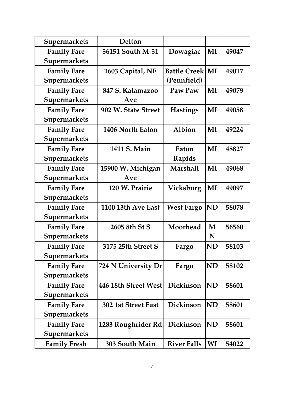| <b>Supermarkets</b> | Delton               |                        |           |       |
|---------------------|----------------------|------------------------|-----------|-------|
| <b>Family Fare</b>  | 56151 South M-51     | Dowagiac               | MI        | 49047 |
| <b>Supermarkets</b> |                      |                        |           |       |
| <b>Family Fare</b>  | 1603 Capital, NE     | <b>Battle Creek MI</b> |           | 49017 |
| <b>Supermarkets</b> |                      | (Pennfield)            |           |       |
| <b>Family Fare</b>  | 847 S. Kalamazoo     | Paw Paw                | MI        | 49079 |
| Supermarkets        | Ave                  |                        |           |       |
| <b>Family Fare</b>  | 902 W. State Street  | <b>Hastings</b>        | MI        | 49058 |
| Supermarkets        |                      |                        |           |       |
| <b>Family Fare</b>  | 1406 North Eaton     | Albion                 | MI        | 49224 |
| Supermarkets        |                      |                        |           |       |
| <b>Family Fare</b>  | 1411 S. Main         | Eaton                  | MI        | 48827 |
| <b>Supermarkets</b> |                      | Rapids                 |           |       |
| <b>Family Fare</b>  | 15900 W. Michigan    | <b>Marshall</b>        | MI        | 49068 |
| Supermarkets        | Ave                  |                        |           |       |
| <b>Family Fare</b>  | 120 W. Prairie       | Vicksburg              | MI        | 49097 |
| Supermarkets        |                      |                        |           |       |
| <b>Family Fare</b>  | 1100 13th Ave East   | <b>West Fargo</b>      | <b>ND</b> | 58078 |
| Supermarkets        |                      |                        |           |       |
| <b>Family Fare</b>  | 2605 8th St S        | Moorhead               | M         | 56560 |
| Supermarkets        |                      |                        | N         |       |
| <b>Family Fare</b>  | 3175 25th Street S   | Fargo                  | <b>ND</b> | 58103 |
| <b>Supermarkets</b> |                      |                        |           |       |
| <b>Family Fare</b>  | 724 N University Dr  | Fargo                  | <b>ND</b> | 58102 |
| <b>Supermarkets</b> |                      |                        |           |       |
| <b>Family Fare</b>  | 446 18th Street West | Dickinson              | ND        | 58601 |
| <b>Supermarkets</b> |                      |                        |           |       |
| <b>Family Fare</b>  | 302 1st Street East  | Dickinson              | <b>ND</b> | 58601 |
| <b>Supermarkets</b> |                      |                        |           |       |
| <b>Family Fare</b>  | 1283 Roughrider Rd   | Dickinson              | <b>ND</b> | 58601 |
| <b>Supermarkets</b> |                      |                        |           |       |
| <b>Family Fresh</b> | 303 South Main       | <b>River Falls</b>     | WI        | 54022 |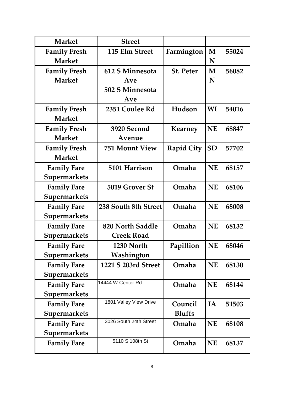| <b>Market</b>       | <b>Street</b>          |                   |           |       |
|---------------------|------------------------|-------------------|-----------|-------|
| <b>Family Fresh</b> | 115 Elm Street         | Farmington        | M         | 55024 |
| <b>Market</b>       |                        |                   | N         |       |
| <b>Family Fresh</b> | 612 S Minnesota        | <b>St. Peter</b>  | M         | 56082 |
| <b>Market</b>       | Ave                    |                   | N         |       |
|                     | 502 S Minnesota        |                   |           |       |
|                     | Ave                    |                   |           |       |
| <b>Family Fresh</b> | 2351 Coulee Rd         | Hudson            | WI        | 54016 |
| <b>Market</b>       |                        |                   |           |       |
| <b>Family Fresh</b> | 3920 Second            | <b>Kearney</b>    | <b>NE</b> | 68847 |
| <b>Market</b>       | Avenue                 |                   |           |       |
| <b>Family Fresh</b> | <b>751 Mount View</b>  | <b>Rapid City</b> | <b>SD</b> | 57702 |
| <b>Market</b>       |                        |                   |           |       |
| <b>Family Fare</b>  | 5101 Harrison          | Omaha             | <b>NE</b> | 68157 |
| <b>Supermarkets</b> |                        |                   |           |       |
| <b>Family Fare</b>  | 5019 Grover St         | Omaha             | <b>NE</b> | 68106 |
| <b>Supermarkets</b> |                        |                   |           |       |
| <b>Family Fare</b>  | 238 South 8th Street   | Omaha             | <b>NE</b> | 68008 |
| <b>Supermarkets</b> |                        |                   |           |       |
| <b>Family Fare</b>  | 820 North Saddle       | Omaha             | <b>NE</b> | 68132 |
| <b>Supermarkets</b> | <b>Creek Road</b>      |                   |           |       |
| <b>Family Fare</b>  | 1230 North             | Papillion         | <b>NE</b> | 68046 |
| <b>Supermarkets</b> | Washington             |                   |           |       |
| <b>Family Fare</b>  | 1221 S 203rd Street    | Omaha             | <b>NE</b> | 68130 |
| <b>Supermarkets</b> |                        |                   |           |       |
| <b>Family Fare</b>  | 14444 W Center Rd      | Omaha             | <b>NE</b> | 68144 |
| <b>Supermarkets</b> |                        |                   |           |       |
| <b>Family Fare</b>  | 1801 Valley View Drive | Council           | IA        | 51503 |
| <b>Supermarkets</b> |                        | <b>Bluffs</b>     |           |       |
| <b>Family Fare</b>  | 3026 South 24th Street | Omaha             | <b>NE</b> | 68108 |
| <b>Supermarkets</b> |                        |                   |           |       |
| <b>Family Fare</b>  | 5110 S 108th St        | Omaha             | <b>NE</b> | 68137 |
|                     |                        |                   |           |       |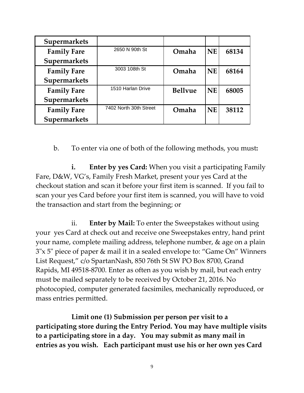| <b>Supermarkets</b> |                        |                |           |       |
|---------------------|------------------------|----------------|-----------|-------|
| <b>Family Fare</b>  | 2650 N 90th St         | Omaha          | <b>NE</b> | 68134 |
| Supermarkets        |                        |                |           |       |
| <b>Family Fare</b>  | 3003 108th St          | Omaha          | <b>NE</b> | 68164 |
| Supermarkets        |                        |                |           |       |
| <b>Family Fare</b>  | 1510 Harlan Drive      | <b>Bellyue</b> | <b>NE</b> | 68005 |
| Supermarkets        |                        |                |           |       |
| <b>Family Fare</b>  | 7402 North 30th Street | Omaha          | <b>NE</b> | 38112 |
| Supermarkets        |                        |                |           |       |

b. To enter via one of both of the following methods, you must**:** 

**i. Enter by yes Card:** When you visit a participating Family Fare, D&W, VG's, Family Fresh Market, present your yes Card at the checkout station and scan it before your first item is scanned. If you fail to scan your yes Card before your first item is scanned, you will have to void the transaction and start from the beginning; or

ii. **Enter by Mail:** To enter the Sweepstakes without using your yes Card at check out and receive one Sweepstakes entry, hand print your name, complete mailing address, telephone number, & age on a plain 3"x 5" piece of paper & mail it in a sealed envelope to: "Game On" Winners List Request," c/o SpartanNash, 850 76th St SW PO Box 8700, Grand Rapids, MI 49518-8700. Enter as often as you wish by mail, but each entry must be mailed separately to be received by October 21, 2016. No photocopied, computer generated facsimiles, mechanically reproduced, or mass entries permitted.

**Limit one (1) Submission per person per visit to a participating store during the Entry Period. You may have multiple visits to a participating store in a day. You may submit as many mail in entries as you wish. Each participant must use his or her own yes Card**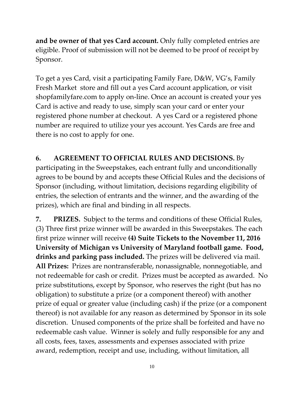**and be owner of that yes Card account.** Only fully completed entries are eligible. Proof of submission will not be deemed to be proof of receipt by Sponsor.

To get a yes Card, visit a participating Family Fare, D&W, VG's, Family Fresh Market store and fill out a yes Card account application, or visit shopfamilyfare.com to apply on-line. Once an account is created your yes Card is active and ready to use, simply scan your card or enter your registered phone number at checkout. A yes Card or a registered phone number are required to utilize your yes account. Yes Cards are free and there is no cost to apply for one.

## **6. AGREEMENT TO OFFICIAL RULES AND DECISIONS.** By

participating in the Sweepstakes, each entrant fully and unconditionally agrees to be bound by and accepts these Official Rules and the decisions of Sponsor (including, without limitation, decisions regarding eligibility of entries, the selection of entrants and the winner, and the awarding of the prizes), which are final and binding in all respects.

**7. PRIZES.** Subject to the terms and conditions of these Official Rules, (3) Three first prize winner will be awarded in this Sweepstakes. The each first prize winner will receive **(4) Suite Tickets to the November 11, 2016 University of Michigan vs University of Maryland football game. Food, drinks and parking pass included.** The prizes will be delivered via mail. **All Prizes:** Prizes are nontransferable, nonassignable, nonnegotiable, and not redeemable for cash or credit. Prizes must be accepted as awarded. No prize substitutions, except by Sponsor, who reserves the right (but has no obligation) to substitute a prize (or a component thereof) with another prize of equal or greater value (including cash) if the prize (or a component thereof) is not available for any reason as determined by Sponsor in its sole discretion. Unused components of the prize shall be forfeited and have no redeemable cash value. Winner is solely and fully responsible for any and all costs, fees, taxes, assessments and expenses associated with prize award, redemption, receipt and use, including, without limitation, all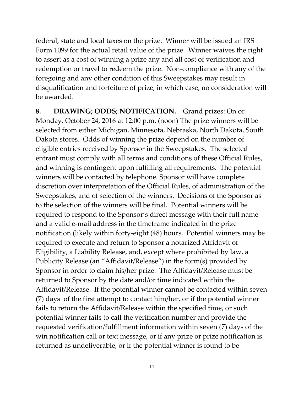federal, state and local taxes on the prize. Winner will be issued an IRS Form 1099 for the actual retail value of the prize. Winner waives the right to assert as a cost of winning a prize any and all cost of verification and redemption or travel to redeem the prize. Non-compliance with any of the foregoing and any other condition of this Sweepstakes may result in disqualification and forfeiture of prize, in which case, no consideration will be awarded.

**8. DRAWING; ODDS; NOTIFICATION.** Grand prizes: On or Monday, October 24, 2016 at 12:00 p.m. (noon) The prize winners will be selected from either Michigan, Minnesota, Nebraska, North Dakota, South Dakota stores. Odds of winning the prize depend on the number of eligible entries received by Sponsor in the Sweepstakes. The selected entrant must comply with all terms and conditions of these Official Rules, and winning is contingent upon fulfilling all requirements. The potential winners will be contacted by telephone. Sponsor will have complete discretion over interpretation of the Official Rules, of administration of the Sweepstakes, and of selection of the winners. Decisions of the Sponsor as to the selection of the winners will be final. Potential winners will be required to respond to the Sponsor's direct message with their full name and a valid e-mail address in the timeframe indicated in the prize notification (likely within forty-eight (48) hours. Potential winners may be required to execute and return to Sponsor a notarized Affidavit of Eligibility, a Liability Release, and, except where prohibited by law, a Publicity Release (an "Affidavit/Release") in the form(s) provided by Sponsor in order to claim his/her prize. The Affidavit/Release must be returned to Sponsor by the date and/or time indicated within the Affidavit/Release. If the potential winner cannot be contacted within seven (7) days of the first attempt to contact him/her, or if the potential winner fails to return the Affidavit/Release within the specified time, or such potential winner fails to call the verification number and provide the requested verification/fulfillment information within seven (7) days of the win notification call or text message, or if any prize or prize notification is returned as undeliverable, or if the potential winner is found to be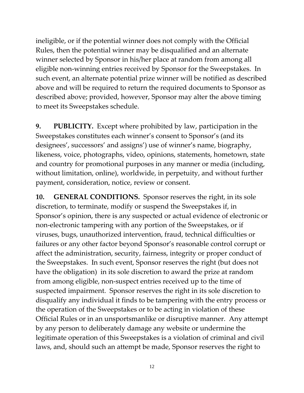ineligible, or if the potential winner does not comply with the Official Rules, then the potential winner may be disqualified and an alternate winner selected by Sponsor in his/her place at random from among all eligible non-winning entries received by Sponsor for the Sweepstakes. In such event, an alternate potential prize winner will be notified as described above and will be required to return the required documents to Sponsor as described above; provided, however, Sponsor may alter the above timing to meet its Sweepstakes schedule.

**9. PUBLICITY.** Except where prohibited by law, participation in the Sweepstakes constitutes each winner's consent to Sponsor's (and its designees', successors' and assigns') use of winner's name, biography, likeness, voice, photographs, video, opinions, statements, hometown, state and country for promotional purposes in any manner or media (including, without limitation, online), worldwide, in perpetuity, and without further payment, consideration, notice, review or consent.

**10. GENERAL CONDITIONS.** Sponsor reserves the right, in its sole discretion, to terminate, modify or suspend the Sweepstakes if, in Sponsor's opinion, there is any suspected or actual evidence of electronic or non-electronic tampering with any portion of the Sweepstakes, or if viruses, bugs, unauthorized intervention, fraud, technical difficulties or failures or any other factor beyond Sponsor's reasonable control corrupt or affect the administration, security, fairness, integrity or proper conduct of the Sweepstakes. In such event, Sponsor reserves the right (but does not have the obligation) in its sole discretion to award the prize at random from among eligible, non-suspect entries received up to the time of suspected impairment. Sponsor reserves the right in its sole discretion to disqualify any individual it finds to be tampering with the entry process or the operation of the Sweepstakes or to be acting in violation of these Official Rules or in an unsportsmanlike or disruptive manner. Any attempt by any person to deliberately damage any website or undermine the legitimate operation of this Sweepstakes is a violation of criminal and civil laws, and, should such an attempt be made, Sponsor reserves the right to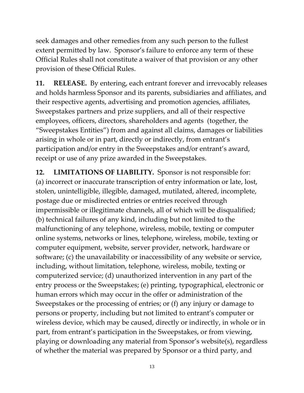seek damages and other remedies from any such person to the fullest extent permitted by law. Sponsor's failure to enforce any term of these Official Rules shall not constitute a waiver of that provision or any other provision of these Official Rules.

**11. RELEASE.** By entering, each entrant forever and irrevocably releases and holds harmless Sponsor and its parents, subsidiaries and affiliates, and their respective agents, advertising and promotion agencies, affiliates, Sweepstakes partners and prize suppliers, and all of their respective employees, officers, directors, shareholders and agents (together, the "Sweepstakes Entities") from and against all claims, damages or liabilities arising in whole or in part, directly or indirectly, from entrant's participation and/or entry in the Sweepstakes and/or entrant's award, receipt or use of any prize awarded in the Sweepstakes.

**12. LIMITATIONS OF LIABILITY.** Sponsor is not responsible for: (a) incorrect or inaccurate transcription of entry information or late, lost, stolen, unintelligible, illegible, damaged, mutilated, altered, incomplete, postage due or misdirected entries or entries received through impermissible or illegitimate channels, all of which will be disqualified; (b) technical failures of any kind, including but not limited to the malfunctioning of any telephone, wireless, mobile, texting or computer online systems, networks or lines, telephone, wireless, mobile, texting or computer equipment, website, server provider, network, hardware or software; (c) the unavailability or inaccessibility of any website or service, including, without limitation, telephone, wireless, mobile, texting or computerized service; (d) unauthorized intervention in any part of the entry process or the Sweepstakes; (e) printing, typographical, electronic or human errors which may occur in the offer or administration of the Sweepstakes or the processing of entries; or (f) any injury or damage to persons or property, including but not limited to entrant's computer or wireless device, which may be caused, directly or indirectly, in whole or in part, from entrant's participation in the Sweepstakes, or from viewing, playing or downloading any material from Sponsor's website(s), regardless of whether the material was prepared by Sponsor or a third party, and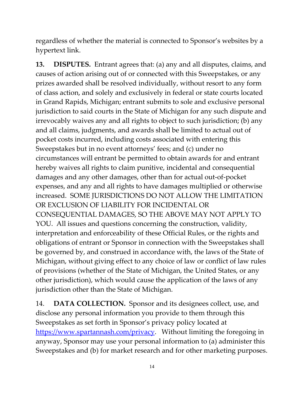regardless of whether the material is connected to Sponsor's websites by a hypertext link.

**13. DISPUTES.** Entrant agrees that: (a) any and all disputes, claims, and causes of action arising out of or connected with this Sweepstakes, or any prizes awarded shall be resolved individually, without resort to any form of class action, and solely and exclusively in federal or state courts located in Grand Rapids, Michigan; entrant submits to sole and exclusive personal jurisdiction to said courts in the State of Michigan for any such dispute and irrevocably waives any and all rights to object to such jurisdiction; (b) any and all claims, judgments, and awards shall be limited to actual out of pocket costs incurred, including costs associated with entering this Sweepstakes but in no event attorneys' fees; and (c) under no circumstances will entrant be permitted to obtain awards for and entrant hereby waives all rights to claim punitive, incidental and consequential damages and any other damages, other than for actual out-of-pocket expenses, and any and all rights to have damages multiplied or otherwise increased. SOME JURISDICTIONS DO NOT ALLOW THE LIMITATION OR EXCLUSION OF LIABILITY FOR INCIDENTAL OR CONSEQUENTIAL DAMAGES, SO THE ABOVE MAY NOT APPLY TO YOU. All issues and questions concerning the construction, validity, interpretation and enforceability of these Official Rules, or the rights and obligations of entrant or Sponsor in connection with the Sweepstakes shall be governed by, and construed in accordance with, the laws of the State of Michigan, without giving effect to any choice of law or conflict of law rules of provisions (whether of the State of Michigan, the United States, or any other jurisdiction), which would cause the application of the laws of any jurisdiction other than the State of Michigan.

14. **DATA COLLECTION.** Sponsor and its designees collect, use, and disclose any personal information you provide to them through this Sweepstakes as set forth in Sponsor's privacy policy located at [https://www.spartannash.com/privacy.](https://www.spartannash.com/privacy) Without limiting the foregoing in anyway, Sponsor may use your personal information to (a) administer this Sweepstakes and (b) for market research and for other marketing purposes.